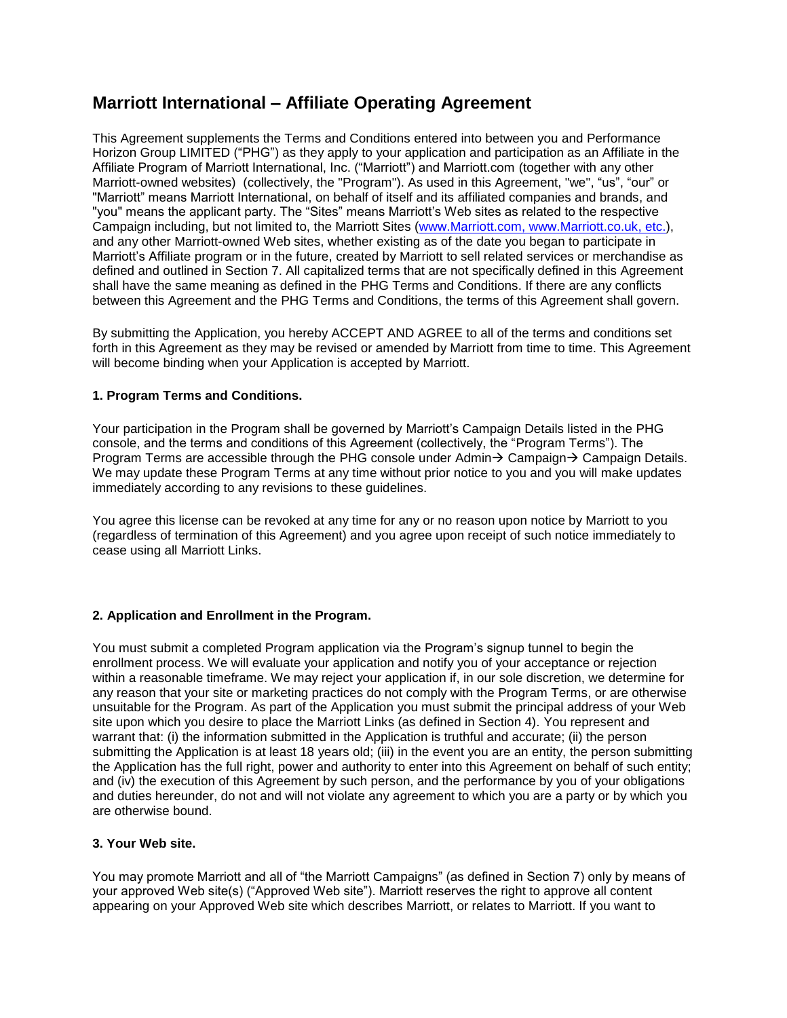# **Marriott International – Affiliate Operating Agreement**

This Agreement supplements the Terms and Conditions entered into between you and Performance Horizon Group LIMITED ("PHG") as they apply to your application and participation as an Affiliate in the Affiliate Program of Marriott International, Inc. ("Marriott") and Marriott.com (together with any other Marriott-owned websites) (collectively, the "Program"). As used in this Agreement, "we", "us", "our" or "Marriott" means Marriott International, on behalf of itself and its affiliated companies and brands, and "you" means the applicant party. The "Sites" means Marriott's Web sites as related to the respective Campaign including, but not limited to, the Marriott Sites [\(www.Marriott.com,](http://www.marriott.com/) [www.Marriott.co.uk,](http://www.marriott.co.uk/) etc.), and any other Marriott-owned Web sites, whether existing as of the date you began to participate in Marriott's Affiliate program or in the future, created by Marriott to sell related services or merchandise as defined and outlined in Section 7. All capitalized terms that are not specifically defined in this Agreement shall have the same meaning as defined in the PHG Terms and Conditions. If there are any conflicts between this Agreement and the PHG Terms and Conditions, the terms of this Agreement shall govern.

By submitting the Application, you hereby ACCEPT AND AGREE to all of the terms and conditions set forth in this Agreement as they may be revised or amended by Marriott from time to time. This Agreement will become binding when your Application is accepted by Marriott.

# **1. Program Terms and Conditions.**

Your participation in the Program shall be governed by Marriott's Campaign Details listed in the PHG console, and the terms and conditions of this Agreement (collectively, the "Program Terms"). The Program Terms are accessible through the PHG console under Admin→ Campaign→ Campaign Details. We may update these Program Terms at any time without prior notice to you and you will make updates immediately according to any revisions to these guidelines.

You agree this license can be revoked at any time for any or no reason upon notice by Marriott to you (regardless of termination of this Agreement) and you agree upon receipt of such notice immediately to cease using all Marriott Links.

# **2. Application and Enrollment in the Program.**

You must submit a completed Program application via the Program's signup tunnel to begin the enrollment process. We will evaluate your application and notify you of your acceptance or rejection within a reasonable timeframe. We may reject your application if, in our sole discretion, we determine for any reason that your site or marketing practices do not comply with the Program Terms, or are otherwise unsuitable for the Program. As part of the Application you must submit the principal address of your Web site upon which you desire to place the Marriott Links (as defined in Section 4). You represent and warrant that: (i) the information submitted in the Application is truthful and accurate; (ii) the person submitting the Application is at least 18 years old; (iii) in the event you are an entity, the person submitting the Application has the full right, power and authority to enter into this Agreement on behalf of such entity; and (iv) the execution of this Agreement by such person, and the performance by you of your obligations and duties hereunder, do not and will not violate any agreement to which you are a party or by which you are otherwise bound.

### **3. Your Web site.**

You may promote Marriott and all of "the Marriott Campaigns" (as defined in Section 7) only by means of your approved Web site(s) ("Approved Web site"). Marriott reserves the right to approve all content appearing on your Approved Web site which describes Marriott, or relates to Marriott. If you want to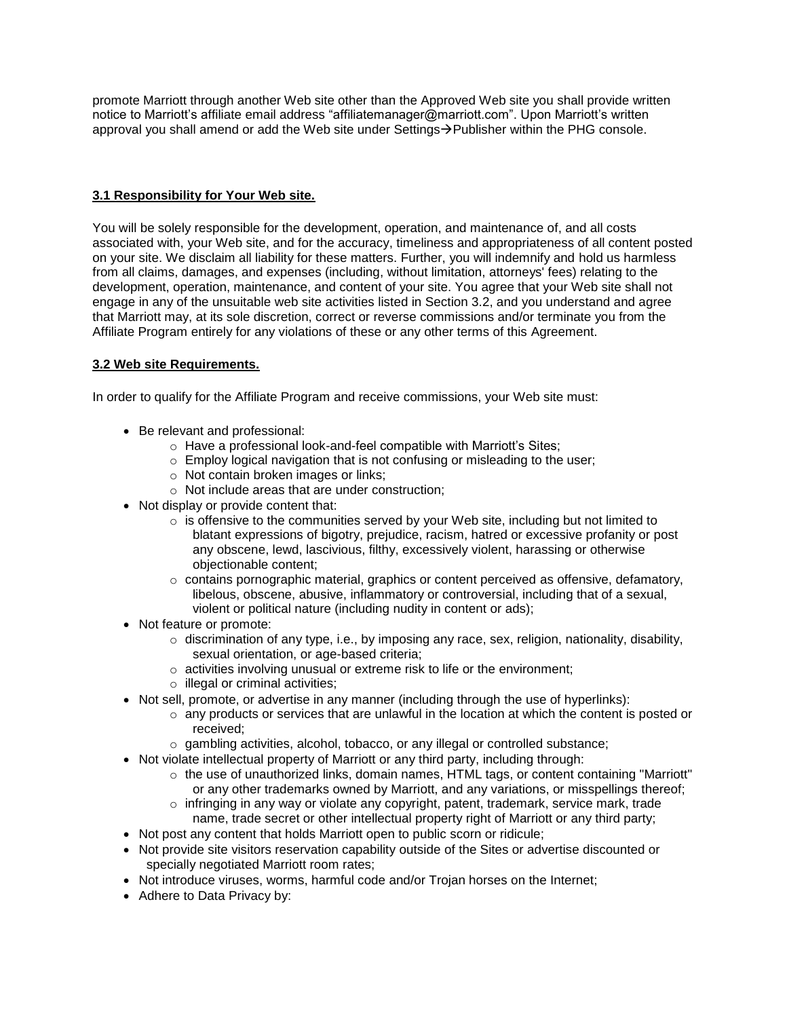promote Marriott through another Web site other than the Approved Web site you shall provide written notice to Marriott's affiliate email address "affiliatemanager@marriott.com". Upon Marriott's written approval you shall amend or add the Web site under Settings→Publisher within the PHG console.

# **3.1 Responsibility for Your Web site.**

You will be solely responsible for the development, operation, and maintenance of, and all costs associated with, your Web site, and for the accuracy, timeliness and appropriateness of all content posted on your site. We disclaim all liability for these matters. Further, you will indemnify and hold us harmless from all claims, damages, and expenses (including, without limitation, attorneys' fees) relating to the development, operation, maintenance, and content of your site. You agree that your Web site shall not engage in any of the unsuitable web site activities listed in Section 3.2, and you understand and agree that Marriott may, at its sole discretion, correct or reverse commissions and/or terminate you from the Affiliate Program entirely for any violations of these or any other terms of this Agreement.

# **3.2 Web site Requirements.**

In order to qualify for the Affiliate Program and receive commissions, your Web site must:

- Be relevant and professional:
	- o Have a professional look-and-feel compatible with Marriott's Sites;
	- o Employ logical navigation that is not confusing or misleading to the user;
	- o Not contain broken images or links;
	- o Not include areas that are under construction;
- Not display or provide content that:
	- $\circ$  is offensive to the communities served by your Web site, including but not limited to blatant expressions of bigotry, prejudice, racism, hatred or excessive profanity or post any obscene, lewd, lascivious, filthy, excessively violent, harassing or otherwise objectionable content;
	- $\circ$  contains pornographic material, graphics or content perceived as offensive, defamatory, libelous, obscene, abusive, inflammatory or controversial, including that of a sexual, violent or political nature (including nudity in content or ads);
- Not feature or promote:
	- $\circ$  discrimination of any type, i.e., by imposing any race, sex, religion, nationality, disability, sexual orientation, or age-based criteria;
	- o activities involving unusual or extreme risk to life or the environment;
	- o illegal or criminal activities;
- Not sell, promote, or advertise in any manner (including through the use of hyperlinks):
	- o any products or services that are unlawful in the location at which the content is posted or received;
	- o gambling activities, alcohol, tobacco, or any illegal or controlled substance;
- Not violate intellectual property of Marriott or any third party, including through:
	- $\circ$  the use of unauthorized links, domain names, HTML tags, or content containing "Marriott" or any other trademarks owned by Marriott, and any variations, or misspellings thereof;
	- $\circ$  infringing in any way or violate any copyright, patent, trademark, service mark, trade name, trade secret or other intellectual property right of Marriott or any third party;
- Not post any content that holds Marriott open to public scorn or ridicule;
- Not provide site visitors reservation capability outside of the Sites or advertise discounted or specially negotiated Marriott room rates;
- Not introduce viruses, worms, harmful code and/or Trojan horses on the Internet;
- Adhere to Data Privacy by: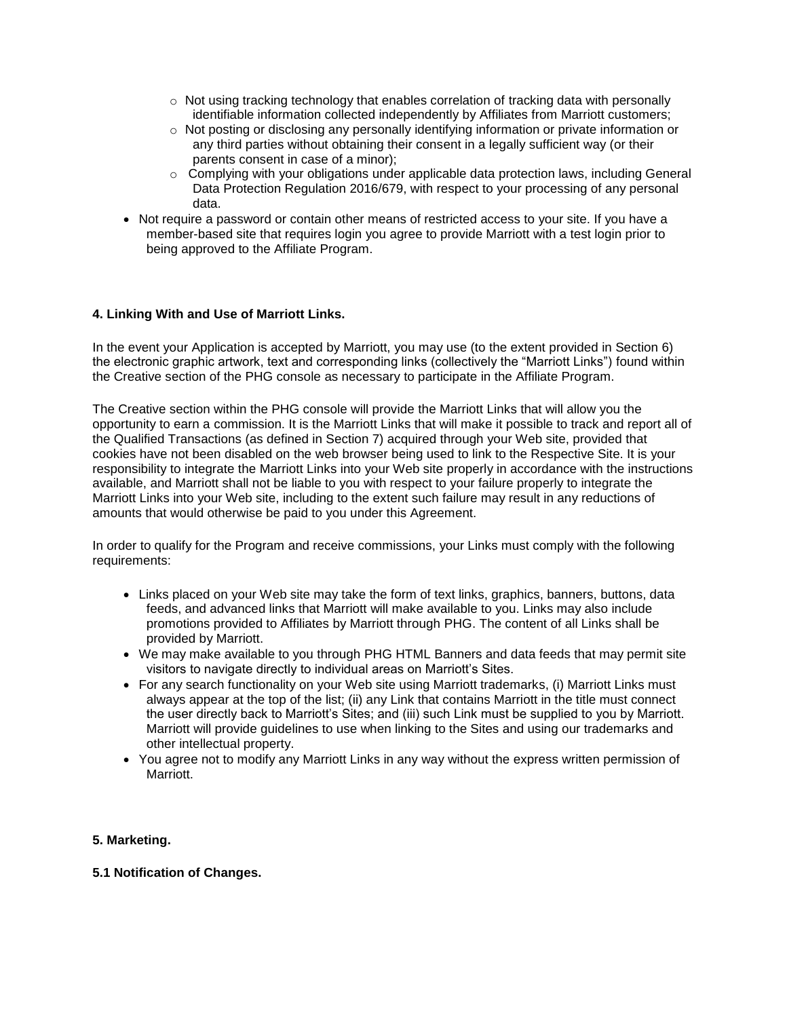- $\circ$  Not using tracking technology that enables correlation of tracking data with personally identifiable information collected independently by Affiliates from Marriott customers;
- o Not posting or disclosing any personally identifying information or private information or any third parties without obtaining their consent in a legally sufficient way (or their parents consent in case of a minor);
- $\circ$  Complying with your obligations under applicable data protection laws, including General Data Protection Regulation 2016/679, with respect to your processing of any personal data.
- Not require a password or contain other means of restricted access to your site. If you have a member-based site that requires login you agree to provide Marriott with a test login prior to being approved to the Affiliate Program.

# **4. Linking With and Use of Marriott Links.**

In the event your Application is accepted by Marriott, you may use (to the extent provided in Section 6) the electronic graphic artwork, text and corresponding links (collectively the "Marriott Links") found within the Creative section of the PHG console as necessary to participate in the Affiliate Program.

The Creative section within the PHG console will provide the Marriott Links that will allow you the opportunity to earn a commission. It is the Marriott Links that will make it possible to track and report all of the Qualified Transactions (as defined in Section 7) acquired through your Web site, provided that cookies have not been disabled on the web browser being used to link to the Respective Site. It is your responsibility to integrate the Marriott Links into your Web site properly in accordance with the instructions available, and Marriott shall not be liable to you with respect to your failure properly to integrate the Marriott Links into your Web site, including to the extent such failure may result in any reductions of amounts that would otherwise be paid to you under this Agreement.

In order to qualify for the Program and receive commissions, your Links must comply with the following requirements:

- Links placed on your Web site may take the form of text links, graphics, banners, buttons, data feeds, and advanced links that Marriott will make available to you. Links may also include promotions provided to Affiliates by Marriott through PHG. The content of all Links shall be provided by Marriott.
- We may make available to you through PHG HTML Banners and data feeds that may permit site visitors to navigate directly to individual areas on Marriott's Sites.
- For any search functionality on your Web site using Marriott trademarks, (i) Marriott Links must always appear at the top of the list; (ii) any Link that contains Marriott in the title must connect the user directly back to Marriott's Sites; and (iii) such Link must be supplied to you by Marriott. Marriott will provide guidelines to use when linking to the Sites and using our trademarks and other intellectual property.
- You agree not to modify any Marriott Links in any way without the express written permission of Marriott.

#### **5. Marketing.**

#### **5.1 Notification of Changes.**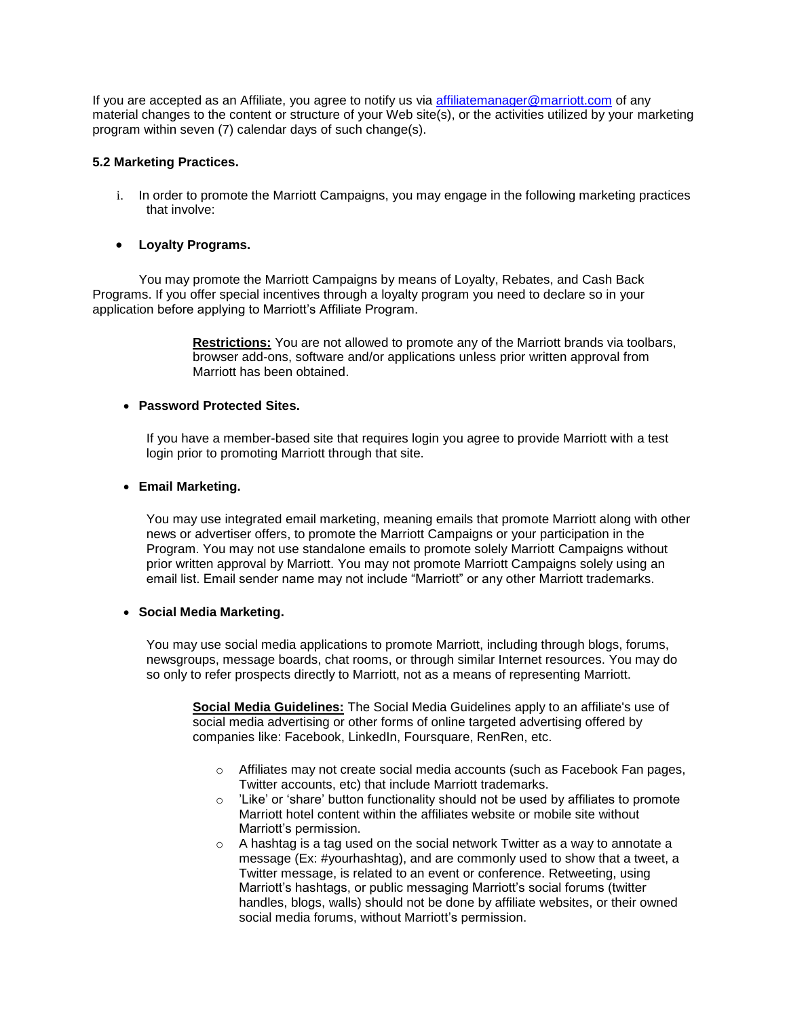If you are accepted as an Affiliate, you agree to notify us via [affiliatemanager@marriott.com](mailto:affiliatemanager@marriott.com) of any material changes to the content or structure of your Web site(s), or the activities utilized by your marketing program within seven (7) calendar days of such change(s).

### **5.2 Marketing Practices.**

i. In order to promote the Marriott Campaigns, you may engage in the following marketing practices that involve:

### • **Loyalty Programs.**

You may promote the Marriott Campaigns by means of Loyalty, Rebates, and Cash Back Programs. If you offer special incentives through a loyalty program you need to declare so in your application before applying to Marriott's Affiliate Program.

> **Restrictions:** You are not allowed to promote any of the Marriott brands via toolbars, browser add-ons, software and/or applications unless prior written approval from Marriott has been obtained.

### • **Password Protected Sites.**

If you have a member-based site that requires login you agree to provide Marriott with a test login prior to promoting Marriott through that site.

#### • **Email Marketing.**

You may use integrated email marketing, meaning emails that promote Marriott along with other news or advertiser offers, to promote the Marriott Campaigns or your participation in the Program. You may not use standalone emails to promote solely Marriott Campaigns without prior written approval by Marriott. You may not promote Marriott Campaigns solely using an email list. Email sender name may not include "Marriott" or any other Marriott trademarks.

#### • **Social Media Marketing.**

You may use social media applications to promote Marriott, including through blogs, forums, newsgroups, message boards, chat rooms, or through similar Internet resources. You may do so only to refer prospects directly to Marriott, not as a means of representing Marriott.

**Social Media Guidelines:** The Social Media Guidelines apply to an affiliate's use of social media advertising or other forms of online targeted advertising offered by companies like: Facebook, LinkedIn, Foursquare, RenRen, etc.

- $\circ$  Affiliates may not create social media accounts (such as Facebook Fan pages, Twitter accounts, etc) that include Marriott trademarks.
- o 'Like' or 'share' button functionality should not be used by affiliates to promote Marriott hotel content within the affiliates website or mobile site without Marriott's permission.
- $\circ$  A hashtag is a tag used on the social network Twitter as a way to annotate a message (Ex: #yourhashtag), and are commonly used to show that a tweet, a Twitter message, is related to an event or conference. Retweeting, using Marriott's hashtags, or public messaging Marriott's social forums (twitter handles, blogs, walls) should not be done by affiliate websites, or their owned social media forums, without Marriott's permission.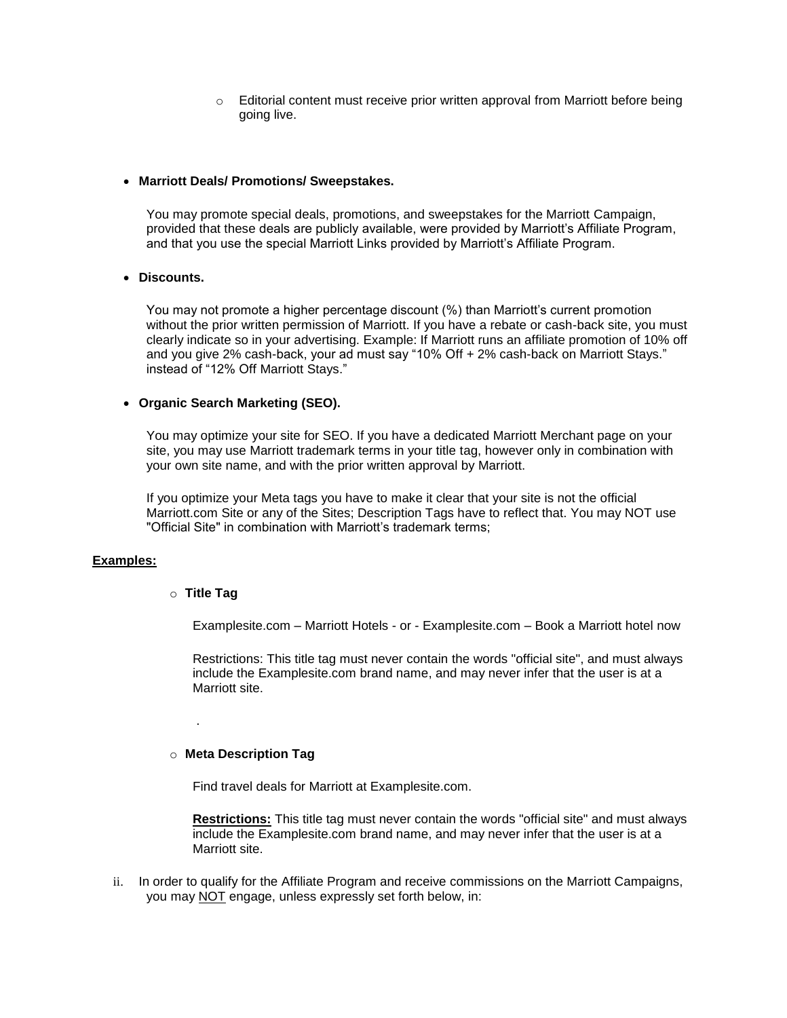o Editorial content must receive prior written approval from Marriott before being going live.

#### • **Marriott Deals/ Promotions/ Sweepstakes.**

You may promote special deals, promotions, and sweepstakes for the Marriott Campaign, provided that these deals are publicly available, were provided by Marriott's Affiliate Program, and that you use the special Marriott Links provided by Marriott's Affiliate Program.

### • **Discounts.**

You may not promote a higher percentage discount (%) than Marriott's current promotion without the prior written permission of Marriott. If you have a rebate or cash-back site, you must clearly indicate so in your advertising. Example: If Marriott runs an affiliate promotion of 10% off and you give 2% cash-back, your ad must say "10% Off + 2% cash-back on Marriott Stays." instead of "12% Off Marriott Stays."

#### • **Organic Search Marketing (SEO).**

You may optimize your site for SEO. If you have a dedicated Marriott Merchant page on your site, you may use Marriott trademark terms in your title tag, however only in combination with your own site name, and with the prior written approval by Marriott.

If you optimize your Meta tags you have to make it clear that your site is not the official Marriott.com Site or any of the Sites; Description Tags have to reflect that. You may NOT use "Official Site" in combination with Marriott's trademark terms;

#### **Examples:**

#### o **Title Tag**

.

Examplesite.com – Marriott Hotels - or - Examplesite.com – Book a Marriott hotel now

Restrictions: This title tag must never contain the words "official site", and must always include the Examplesite.com brand name, and may never infer that the user is at a Marriott site.

#### o **Meta Description Tag**

Find travel deals for Marriott at Examplesite.com.

**Restrictions:** This title tag must never contain the words "official site" and must always include the Examplesite.com brand name, and may never infer that the user is at a Marriott site.

ii. In order to qualify for the Affiliate Program and receive commissions on the Marriott Campaigns, you may NOT engage, unless expressly set forth below, in: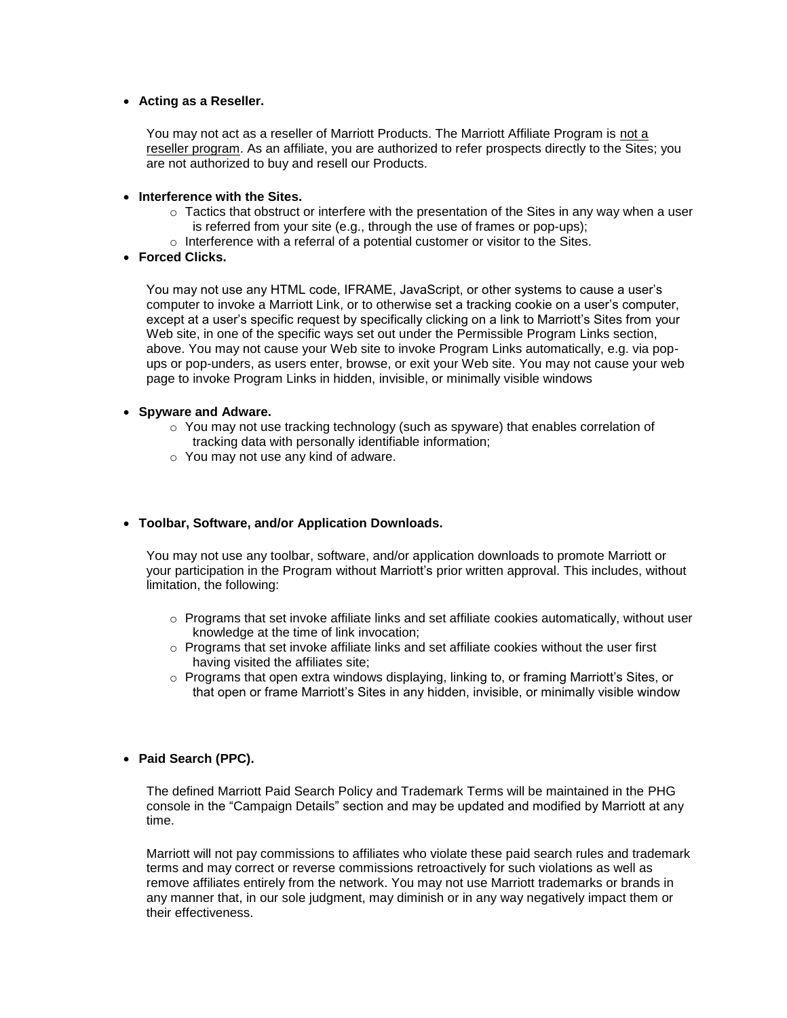#### • **Acting as a Reseller.**

You may not act as a reseller of Marriott Products. The Marriott Affiliate Program is not a reseller program. As an affiliate, you are authorized to refer prospects directly to the Sites; you are not authorized to buy and resell our Products.

#### • **Interference with the Sites.**

- $\circ$  Tactics that obstruct or interfere with the presentation of the Sites in any way when a user is referred from your site (e.g., through the use of frames or pop-ups);
- o Interference with a referral of a potential customer or visitor to the Sites.

#### • **Forced Clicks.**

You may not use any HTML code, IFRAME, JavaScript, or other systems to cause a user's computer to invoke a Marriott Link, or to otherwise set a tracking cookie on a user's computer, except at a user's specific request by specifically clicking on a link to Marriott's Sites from your Web site, in one of the specific ways set out under the Permissible Program Links section, above. You may not cause your Web site to invoke Program Links automatically, e.g. via popups or pop-unders, as users enter, browse, or exit your Web site. You may not cause your web page to invoke Program Links in hidden, invisible, or minimally visible windows

#### • **Spyware and Adware.**

- $\circ$  You may not use tracking technology (such as spyware) that enables correlation of tracking data with personally identifiable information;
- o You may not use any kind of adware.

#### • **Toolbar, Software, and/or Application Downloads.**

You may not use any toolbar, software, and/or application downloads to promote Marriott or your participation in the Program without Marriott's prior written approval. This includes, without limitation, the following:

- $\circ$  Programs that set invoke affiliate links and set affiliate cookies automatically, without user knowledge at the time of link invocation;
- $\circ$  Programs that set invoke affiliate links and set affiliate cookies without the user first having visited the affiliates site;
- $\circ$  Programs that open extra windows displaying, linking to, or framing Marriott's Sites, or that open or frame Marriott's Sites in any hidden, invisible, or minimally visible window

#### • **Paid Search (PPC).**

The defined Marriott Paid Search Policy and Trademark Terms will be maintained in the PHG console in the "Campaign Details" section and may be updated and modified by Marriott at any time.

Marriott will not pay commissions to affiliates who violate these paid search rules and trademark terms and may correct or reverse commissions retroactively for such violations as well as remove affiliates entirely from the network. You may not use Marriott trademarks or brands in any manner that, in our sole judgment, may diminish or in any way negatively impact them or their effectiveness.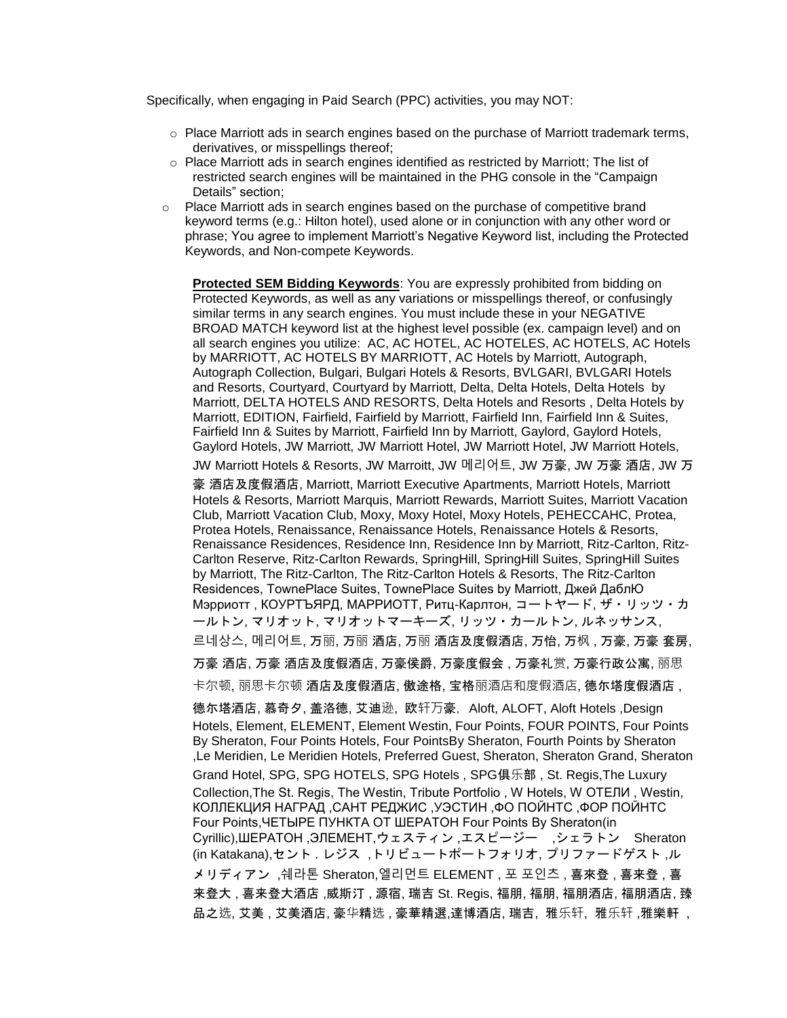Specifically, when engaging in Paid Search (PPC) activities, you may NOT:

- $\circ$  Place Marriott ads in search engines based on the purchase of Marriott trademark terms, derivatives, or misspellings thereof;
- o Place Marriott ads in search engines identified as restricted by Marriott; The list of restricted search engines will be maintained in the PHG console in the "Campaign Details" section;
- $\circ$  Place Marriott ads in search engines based on the purchase of competitive brand keyword terms (e.g.: Hilton hotel), used alone or in conjunction with any other word or phrase; You agree to implement Marriott's Negative Keyword list, including the Protected Keywords, and Non-compete Keywords.

**Protected SEM Bidding Keywords**: You are expressly prohibited from bidding on Protected Keywords, as well as any variations or misspellings thereof, or confusingly similar terms in any search engines. You must include these in your NEGATIVE BROAD MATCH keyword list at the highest level possible (ex. campaign level) and on all search engines you utilize: AC, AC HOTEL, AC HOTELES, AC HOTELS, AC Hotels by MARRIOTT, AC HOTELS BY MARRIOTT, AC Hotels by Marriott, Autograph, Autograph Collection, Bulgari, Bulgari Hotels & Resorts, BVLGARI, BVLGARI Hotels and Resorts, Courtyard, Courtyard by Marriott, Delta, Delta Hotels, Delta Hotels by Marriott, DELTA HOTELS AND RESORTS, Delta Hotels and Resorts , Delta Hotels by Marriott, EDITION, Fairfield, Fairfield by Marriott, Fairfield Inn, Fairfield Inn & Suites, Fairfield Inn & Suites by Marriott, Fairfield Inn by Marriott, Gaylord, Gaylord Hotels, Gaylord Hotels, JW Marriott, JW Marriott Hotel, JW Marriott Hotel, JW Marriott Hotels,

JW Marriott Hotels & Resorts, JW Marroitt, JW 메리어트, JW 万豪, JW 万豪 酒店, JW 万 豪 酒店及度假酒店, Marriott, Marriott Executive Apartments, Marriott Hotels, Marriott Hotels & Resorts, Marriott Marquis, Marriott Rewards, Marriott Suites, Marriott Vacation Club, Marriott Vacation Club, Moxy, Moxy Hotel, Moxy Hotels, PEHECCAHC, Protea, Protea Hotels, Renaissance, Renaissance Hotels, Renaissance Hotels & Resorts, Renaissance Residences, Residence Inn, Residence Inn by Marriott, Ritz-Carlton, Ritz-Carlton Reserve, Ritz-Carlton Rewards, SpringHill, SpringHill Suites, SpringHill Suites by Marriott, The Ritz-Carlton, The Ritz-Carlton Hotels & Resorts, The Ritz-Carlton Residences, TownePlace Suites, TownePlace Suites by Marriott, Джей ДаблЮ Мэрриотт , КОУРТЪЯРД, МAPPИOTT, Ритц-Карлтон, コートヤード, ザ・リッツ・カ ールトン, マリオット, マリオットマーキーズ, リッツ・カールトン, ルネッサンス,

르네상스, 메리어트, 万丽, 万丽 酒店, 万丽 酒店及度假酒店, 万怡, 万枫 , 万豪, 万豪 套房,

万豪 酒店, 万豪 酒店及度假酒店, 万豪侯爵, 万豪度假会 , 万豪礼赏, 万豪行政公寓, 丽思

卡尔顿, 丽思卡尔顿 酒店及度假酒店, 傲途格, 宝格丽酒店和度假酒店, 德尓塔度假酒店 ,

德尓塔酒店, 慕奇夕, 盖洛德, 艾迪逊, 欧轩万豪, Aloft, ALOFT, Aloft Hotels ,Design Hotels, Element, ELEMENT, Element Westin, Four Points, FOUR POINTS, Four Points By Sheraton, Four Points Hotels, Four PointsBy Sheraton, Fourth Points by Sheraton ,Le Meridien, Le Meridien Hotels, Preferred Guest, Sheraton, Sheraton Grand, Sheraton Grand Hotel, SPG, SPG HOTELS, SPG Hotels , SPG俱乐部 , St. Regis,The Luxury Collection,The St. Regis, The Westin, Tribute Portfolio , W Hotels, W ОТЕЛИ , Westin, КОЛЛЕКЦИЯ НАГРАД ,САНТ РЕДЖИС ,УЭСТИН ,ФО ПОЙНТС ,ФОР ПОЙНТС Four Points,ЧЕТЫРЕ ПУНКТА ОТ ШЕРАТОН Four Points By Sheraton(in Cyrillic),ШЕРАТОН ,ЭЛЕМЕНТ,ウェスティン ,エスピージー ,シェラトン Sheraton (in Katakana),セント . レジス ,トリビュートポートフォリオ, プリファードゲスト ,ル メリディアン ,쉐라톤 Sheraton,엘리먼트 ELEMENT , 포 포인츠 , 喜來登 , 喜来登 , 喜 来登大 , 喜来登大酒店 ,威斯汀 , 源宿, 瑞吉 St. Regis, 福朋, 福朋, 福朋酒店, 福朋酒店, 臻 品之选, 艾美 , 艾美酒店, 豪华精选 , 豪華精選,達博酒店, 瑞吉, 雅乐轩, 雅乐轩 , 雅樂軒 ,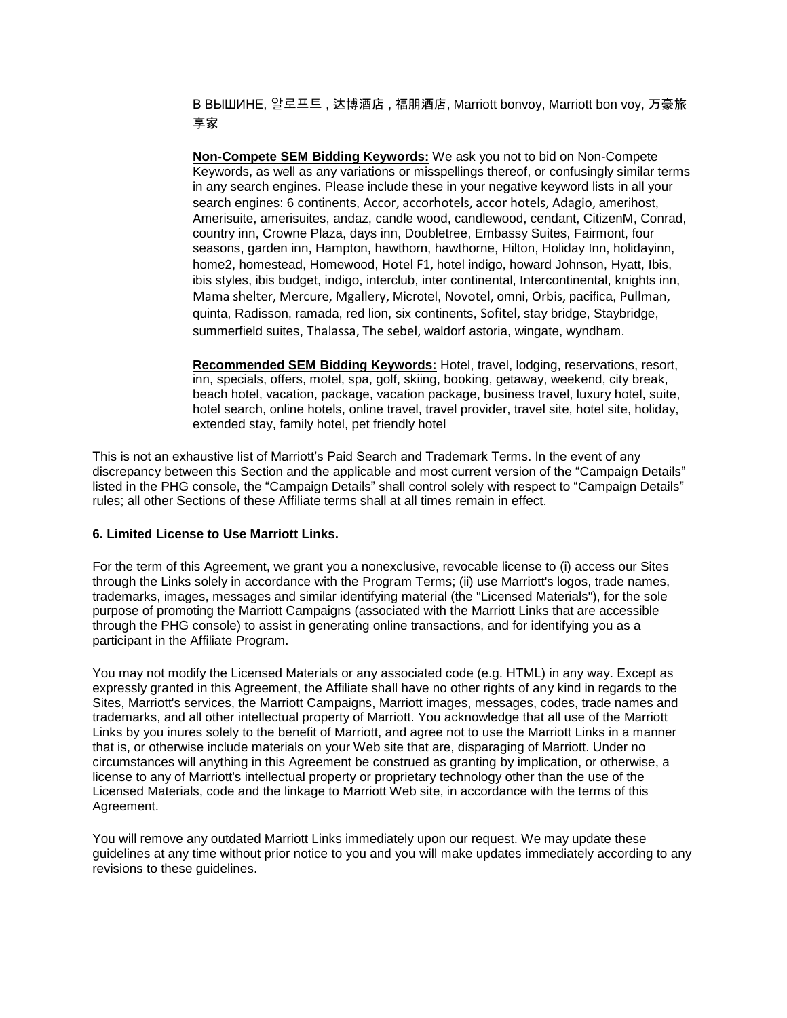В ВЫШИНЕ, 알로프트 , 达博酒店 , 福朋酒店, Marriott bonvoy, Marriott bon voy, 万豪旅 享家

**Non-Compete SEM Bidding Keywords:** We ask you not to bid on Non-Compete Keywords, as well as any variations or misspellings thereof, or confusingly similar terms in any search engines. Please include these in your negative keyword lists in all your search engines: 6 continents, Accor, accorhotels, accor hotels, Adagio, amerihost, Amerisuite, amerisuites, andaz, candle wood, candlewood, cendant, CitizenM, Conrad, country inn, Crowne Plaza, days inn, Doubletree, Embassy Suites, Fairmont, four seasons, garden inn, Hampton, hawthorn, hawthorne, Hilton, Holiday Inn, holidayinn, home2, homestead, Homewood, Hotel F1, hotel indigo, howard Johnson, Hyatt, Ibis, ibis styles, ibis budget, indigo, interclub, inter continental, Intercontinental, knights inn, Mama shelter, Mercure, Mgallery, Microtel, Novotel, omni, Orbis, pacifica, Pullman, quinta, Radisson, ramada, red lion, six continents, Sofitel, stay bridge, Staybridge, summerfield suites, Thalassa, The sebel, waldorf astoria, wingate, wyndham.

**Recommended SEM Bidding Keywords:** Hotel, travel, lodging, reservations, resort, inn, specials, offers, motel, spa, golf, skiing, booking, getaway, weekend, city break, beach hotel, vacation, package, vacation package, business travel, luxury hotel, suite, hotel search, online hotels, online travel, travel provider, travel site, hotel site, holiday, extended stay, family hotel, pet friendly hotel

This is not an exhaustive list of Marriott's Paid Search and Trademark Terms. In the event of any discrepancy between this Section and the applicable and most current version of the "Campaign Details" listed in the PHG console, the "Campaign Details" shall control solely with respect to "Campaign Details" rules; all other Sections of these Affiliate terms shall at all times remain in effect.

#### **6. Limited License to Use Marriott Links.**

For the term of this Agreement, we grant you a nonexclusive, revocable license to (i) access our Sites through the Links solely in accordance with the Program Terms; (ii) use Marriott's logos, trade names, trademarks, images, messages and similar identifying material (the "Licensed Materials"), for the sole purpose of promoting the Marriott Campaigns (associated with the Marriott Links that are accessible through the PHG console) to assist in generating online transactions, and for identifying you as a participant in the Affiliate Program.

You may not modify the Licensed Materials or any associated code (e.g. HTML) in any way. Except as expressly granted in this Agreement, the Affiliate shall have no other rights of any kind in regards to the Sites, Marriott's services, the Marriott Campaigns, Marriott images, messages, codes, trade names and trademarks, and all other intellectual property of Marriott. You acknowledge that all use of the Marriott Links by you inures solely to the benefit of Marriott, and agree not to use the Marriott Links in a manner that is, or otherwise include materials on your Web site that are, disparaging of Marriott. Under no circumstances will anything in this Agreement be construed as granting by implication, or otherwise, a license to any of Marriott's intellectual property or proprietary technology other than the use of the Licensed Materials, code and the linkage to Marriott Web site, in accordance with the terms of this Agreement.

You will remove any outdated Marriott Links immediately upon our request. We may update these guidelines at any time without prior notice to you and you will make updates immediately according to any revisions to these guidelines.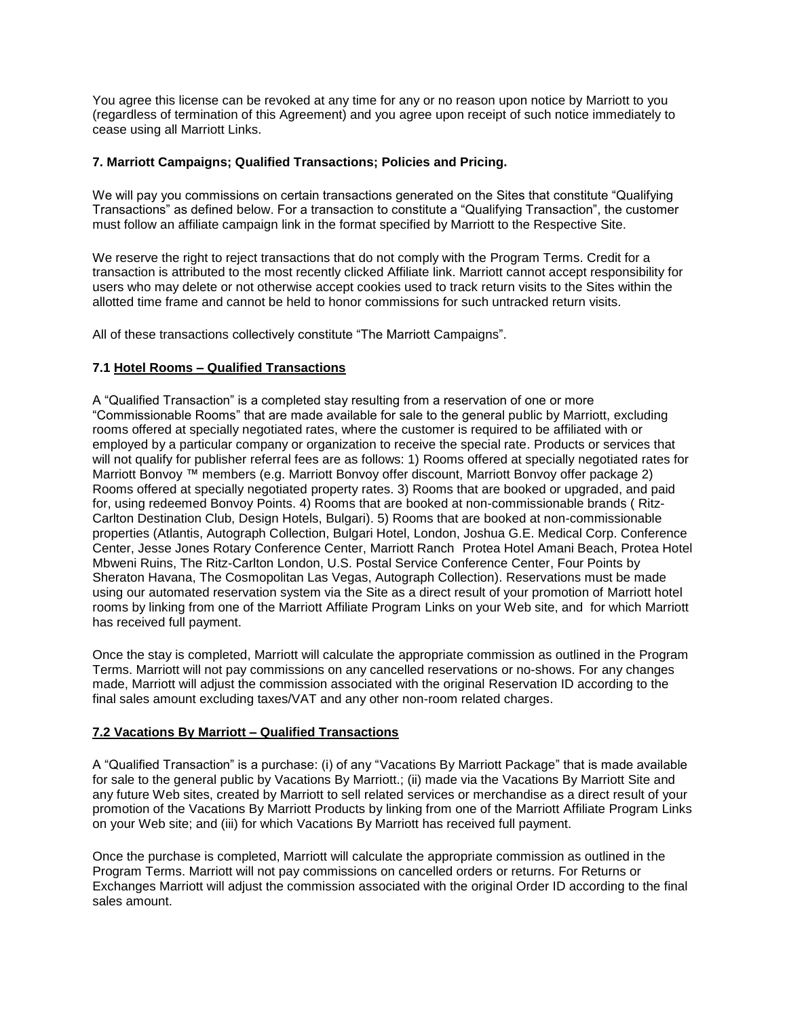You agree this license can be revoked at any time for any or no reason upon notice by Marriott to you (regardless of termination of this Agreement) and you agree upon receipt of such notice immediately to cease using all Marriott Links.

### **7. Marriott Campaigns; Qualified Transactions; Policies and Pricing.**

We will pay you commissions on certain transactions generated on the Sites that constitute "Qualifying Transactions" as defined below. For a transaction to constitute a "Qualifying Transaction", the customer must follow an affiliate campaign link in the format specified by Marriott to the Respective Site.

We reserve the right to reject transactions that do not comply with the Program Terms. Credit for a transaction is attributed to the most recently clicked Affiliate link. Marriott cannot accept responsibility for users who may delete or not otherwise accept cookies used to track return visits to the Sites within the allotted time frame and cannot be held to honor commissions for such untracked return visits.

All of these transactions collectively constitute "The Marriott Campaigns".

### **7.1 Hotel Rooms – Qualified Transactions**

A "Qualified Transaction" is a completed stay resulting from a reservation of one or more "Commissionable Rooms" that are made available for sale to the general public by Marriott, excluding rooms offered at specially negotiated rates, where the customer is required to be affiliated with or employed by a particular company or organization to receive the special rate. Products or services that will not qualify for publisher referral fees are as follows: 1) Rooms offered at specially negotiated rates for Marriott Bonvoy<sup>™</sup> members (e.g. Marriott Bonvoy offer discount, Marriott Bonvoy offer package 2) Rooms offered at specially negotiated property rates. 3) Rooms that are booked or upgraded, and paid for, using redeemed Bonvoy Points. 4) Rooms that are booked at non-commissionable brands ( Ritz-Carlton Destination Club, Design Hotels, Bulgari). 5) Rooms that are booked at non-commissionable properties (Atlantis, Autograph Collection, Bulgari Hotel, London, Joshua G.E. Medical Corp. Conference Center, Jesse Jones Rotary Conference Center, Marriott Ranch Protea Hotel Amani Beach, Protea Hotel Mbweni Ruins, The Ritz-Carlton London, U.S. Postal Service Conference Center, Four Points by Sheraton Havana, The Cosmopolitan Las Vegas, Autograph Collection). Reservations must be made using our automated reservation system via the Site as a direct result of your promotion of Marriott hotel rooms by linking from one of the Marriott Affiliate Program Links on your Web site, and for which Marriott has received full payment.

Once the stay is completed, Marriott will calculate the appropriate commission as outlined in the Program Terms. Marriott will not pay commissions on any cancelled reservations or no-shows. For any changes made, Marriott will adjust the commission associated with the original Reservation ID according to the final sales amount excluding taxes/VAT and any other non-room related charges.

#### **7.2 Vacations By Marriott – Qualified Transactions**

A "Qualified Transaction" is a purchase: (i) of any "Vacations By Marriott Package" that is made available for sale to the general public by Vacations By Marriott.; (ii) made via the Vacations By Marriott Site and any future Web sites, created by Marriott to sell related services or merchandise as a direct result of your promotion of the Vacations By Marriott Products by linking from one of the Marriott Affiliate Program Links on your Web site; and (iii) for which Vacations By Marriott has received full payment.

Once the purchase is completed, Marriott will calculate the appropriate commission as outlined in the Program Terms. Marriott will not pay commissions on cancelled orders or returns. For Returns or Exchanges Marriott will adjust the commission associated with the original Order ID according to the final sales amount.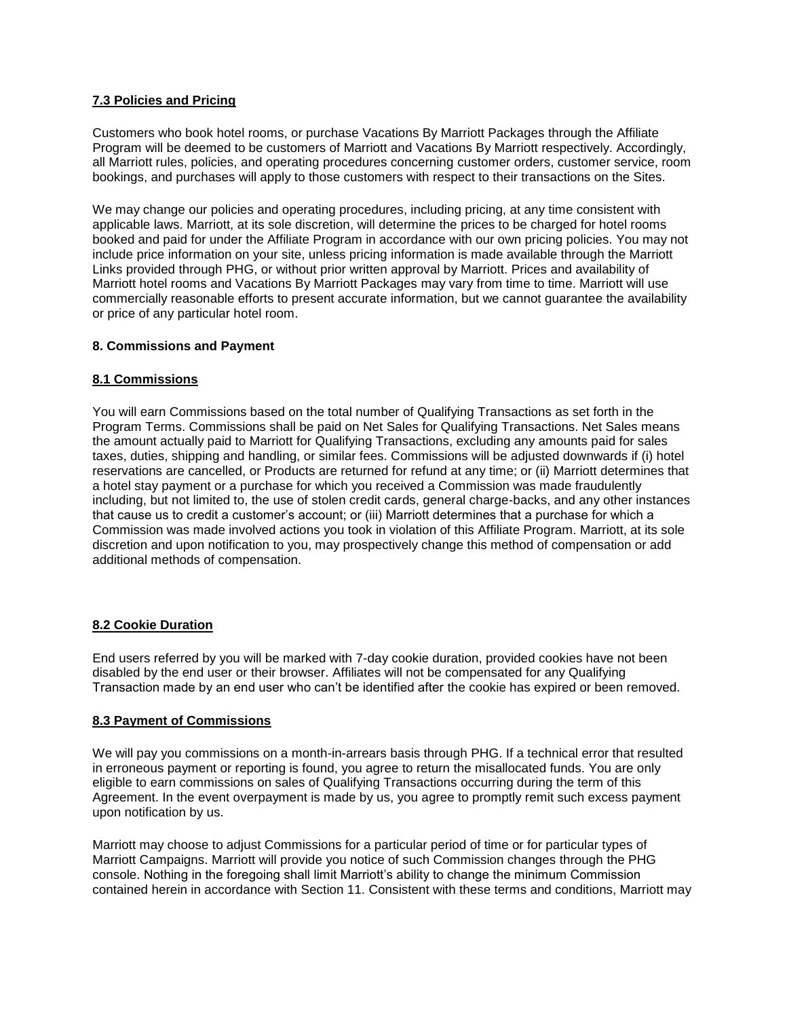# **7.3 Policies and Pricing**

Customers who book hotel rooms, or purchase Vacations By Marriott Packages through the Affiliate Program will be deemed to be customers of Marriott and Vacations By Marriott respectively. Accordingly, all Marriott rules, policies, and operating procedures concerning customer orders, customer service, room bookings, and purchases will apply to those customers with respect to their transactions on the Sites.

We may change our policies and operating procedures, including pricing, at any time consistent with applicable laws. Marriott, at its sole discretion, will determine the prices to be charged for hotel rooms booked and paid for under the Affiliate Program in accordance with our own pricing policies. You may not include price information on your site, unless pricing information is made available through the Marriott Links provided through PHG, or without prior written approval by Marriott. Prices and availability of Marriott hotel rooms and Vacations By Marriott Packages may vary from time to time. Marriott will use commercially reasonable efforts to present accurate information, but we cannot guarantee the availability or price of any particular hotel room.

# **8. Commissions and Payment**

### **8.1 Commissions**

You will earn Commissions based on the total number of Qualifying Transactions as set forth in the Program Terms. Commissions shall be paid on Net Sales for Qualifying Transactions. Net Sales means the amount actually paid to Marriott for Qualifying Transactions, excluding any amounts paid for sales taxes, duties, shipping and handling, or similar fees. Commissions will be adjusted downwards if (i) hotel reservations are cancelled, or Products are returned for refund at any time; or (ii) Marriott determines that a hotel stay payment or a purchase for which you received a Commission was made fraudulently including, but not limited to, the use of stolen credit cards, general charge-backs, and any other instances that cause us to credit a customer's account; or (iii) Marriott determines that a purchase for which a Commission was made involved actions you took in violation of this Affiliate Program. Marriott, at its sole discretion and upon notification to you, may prospectively change this method of compensation or add additional methods of compensation.

#### **8.2 Cookie Duration**

End users referred by you will be marked with 7-day cookie duration, provided cookies have not been disabled by the end user or their browser. Affiliates will not be compensated for any Qualifying Transaction made by an end user who can't be identified after the cookie has expired or been removed.

### **8.3 Payment of Commissions**

We will pay you commissions on a month-in-arrears basis through PHG. If a technical error that resulted in erroneous payment or reporting is found, you agree to return the misallocated funds. You are only eligible to earn commissions on sales of Qualifying Transactions occurring during the term of this Agreement. In the event overpayment is made by us, you agree to promptly remit such excess payment upon notification by us.

Marriott may choose to adjust Commissions for a particular period of time or for particular types of Marriott Campaigns. Marriott will provide you notice of such Commission changes through the PHG console. Nothing in the foregoing shall limit Marriott's ability to change the minimum Commission contained herein in accordance with Section 11. Consistent with these terms and conditions, Marriott may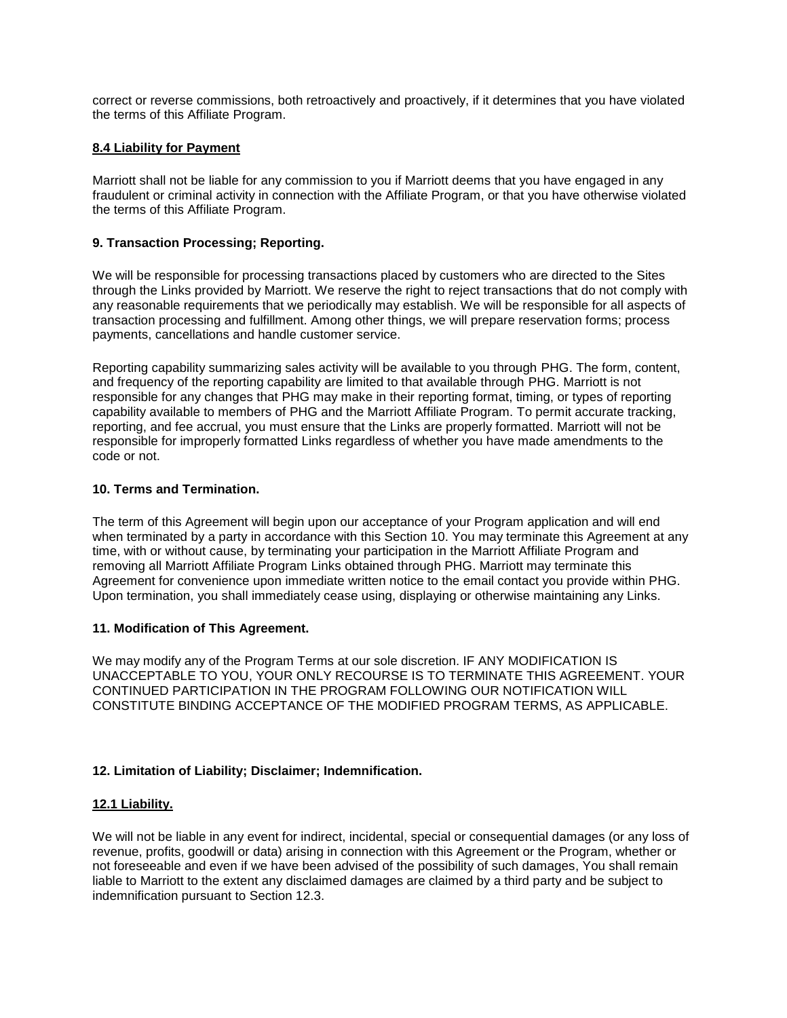correct or reverse commissions, both retroactively and proactively, if it determines that you have violated the terms of this Affiliate Program.

### **8.4 Liability for Payment**

Marriott shall not be liable for any commission to you if Marriott deems that you have engaged in any fraudulent or criminal activity in connection with the Affiliate Program, or that you have otherwise violated the terms of this Affiliate Program.

# **9. Transaction Processing; Reporting.**

We will be responsible for processing transactions placed by customers who are directed to the Sites through the Links provided by Marriott. We reserve the right to reject transactions that do not comply with any reasonable requirements that we periodically may establish. We will be responsible for all aspects of transaction processing and fulfillment. Among other things, we will prepare reservation forms; process payments, cancellations and handle customer service.

Reporting capability summarizing sales activity will be available to you through PHG. The form, content, and frequency of the reporting capability are limited to that available through PHG. Marriott is not responsible for any changes that PHG may make in their reporting format, timing, or types of reporting capability available to members of PHG and the Marriott Affiliate Program. To permit accurate tracking, reporting, and fee accrual, you must ensure that the Links are properly formatted. Marriott will not be responsible for improperly formatted Links regardless of whether you have made amendments to the code or not.

### **10. Terms and Termination.**

The term of this Agreement will begin upon our acceptance of your Program application and will end when terminated by a party in accordance with this Section 10. You may terminate this Agreement at any time, with or without cause, by terminating your participation in the Marriott Affiliate Program and removing all Marriott Affiliate Program Links obtained through PHG. Marriott may terminate this Agreement for convenience upon immediate written notice to the email contact you provide within PHG. Upon termination, you shall immediately cease using, displaying or otherwise maintaining any Links.

#### **11. Modification of This Agreement.**

We may modify any of the Program Terms at our sole discretion. IF ANY MODIFICATION IS UNACCEPTABLE TO YOU, YOUR ONLY RECOURSE IS TO TERMINATE THIS AGREEMENT. YOUR CONTINUED PARTICIPATION IN THE PROGRAM FOLLOWING OUR NOTIFICATION WILL CONSTITUTE BINDING ACCEPTANCE OF THE MODIFIED PROGRAM TERMS, AS APPLICABLE.

# **12. Limitation of Liability; Disclaimer; Indemnification.**

#### **12.1 Liability.**

We will not be liable in any event for indirect, incidental, special or consequential damages (or any loss of revenue, profits, goodwill or data) arising in connection with this Agreement or the Program, whether or not foreseeable and even if we have been advised of the possibility of such damages, You shall remain liable to Marriott to the extent any disclaimed damages are claimed by a third party and be subject to indemnification pursuant to Section 12.3.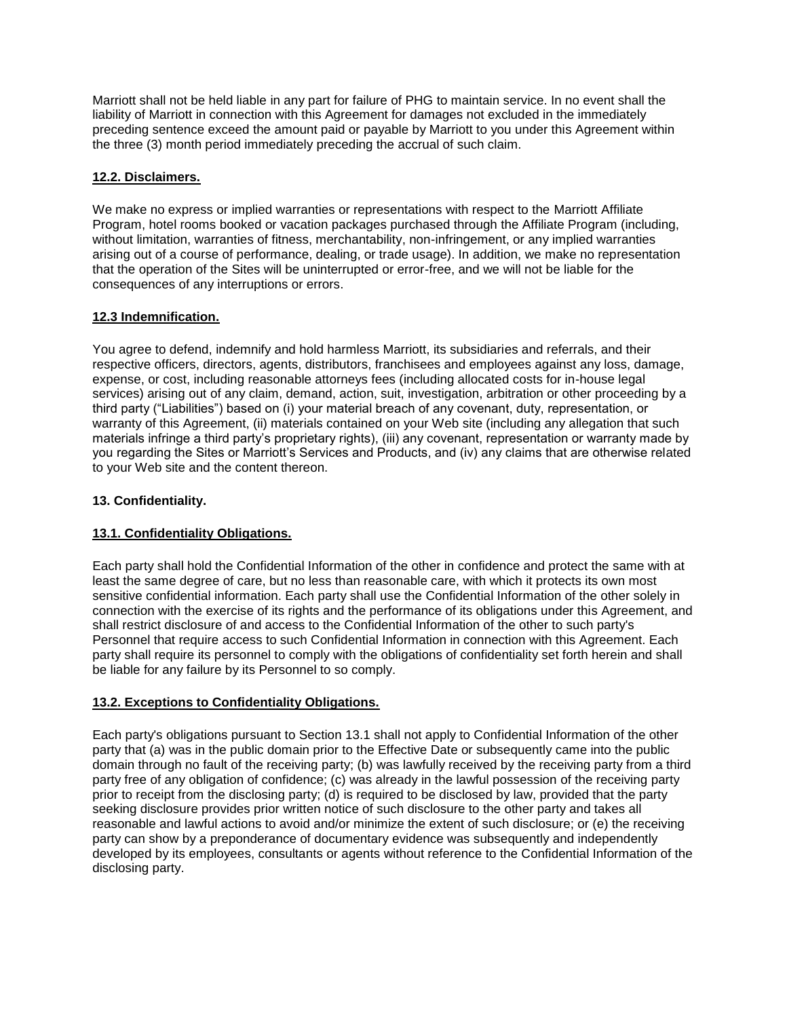Marriott shall not be held liable in any part for failure of PHG to maintain service. In no event shall the liability of Marriott in connection with this Agreement for damages not excluded in the immediately preceding sentence exceed the amount paid or payable by Marriott to you under this Agreement within the three (3) month period immediately preceding the accrual of such claim.

# **12.2. Disclaimers.**

We make no express or implied warranties or representations with respect to the Marriott Affiliate Program, hotel rooms booked or vacation packages purchased through the Affiliate Program (including, without limitation, warranties of fitness, merchantability, non-infringement, or any implied warranties arising out of a course of performance, dealing, or trade usage). In addition, we make no representation that the operation of the Sites will be uninterrupted or error-free, and we will not be liable for the consequences of any interruptions or errors.

# **12.3 Indemnification.**

You agree to defend, indemnify and hold harmless Marriott, its subsidiaries and referrals, and their respective officers, directors, agents, distributors, franchisees and employees against any loss, damage, expense, or cost, including reasonable attorneys fees (including allocated costs for in-house legal services) arising out of any claim, demand, action, suit, investigation, arbitration or other proceeding by a third party ("Liabilities") based on (i) your material breach of any covenant, duty, representation, or warranty of this Agreement, (ii) materials contained on your Web site (including any allegation that such materials infringe a third party's proprietary rights), (iii) any covenant, representation or warranty made by you regarding the Sites or Marriott's Services and Products, and (iv) any claims that are otherwise related to your Web site and the content thereon.

# **13. Confidentiality.**

# **13.1. Confidentiality Obligations.**

Each party shall hold the Confidential Information of the other in confidence and protect the same with at least the same degree of care, but no less than reasonable care, with which it protects its own most sensitive confidential information. Each party shall use the Confidential Information of the other solely in connection with the exercise of its rights and the performance of its obligations under this Agreement, and shall restrict disclosure of and access to the Confidential Information of the other to such party's Personnel that require access to such Confidential Information in connection with this Agreement. Each party shall require its personnel to comply with the obligations of confidentiality set forth herein and shall be liable for any failure by its Personnel to so comply.

# **13.2. Exceptions to Confidentiality Obligations.**

Each party's obligations pursuant to Section 13.1 shall not apply to Confidential Information of the other party that (a) was in the public domain prior to the Effective Date or subsequently came into the public domain through no fault of the receiving party; (b) was lawfully received by the receiving party from a third party free of any obligation of confidence; (c) was already in the lawful possession of the receiving party prior to receipt from the disclosing party; (d) is required to be disclosed by law, provided that the party seeking disclosure provides prior written notice of such disclosure to the other party and takes all reasonable and lawful actions to avoid and/or minimize the extent of such disclosure; or (e) the receiving party can show by a preponderance of documentary evidence was subsequently and independently developed by its employees, consultants or agents without reference to the Confidential Information of the disclosing party.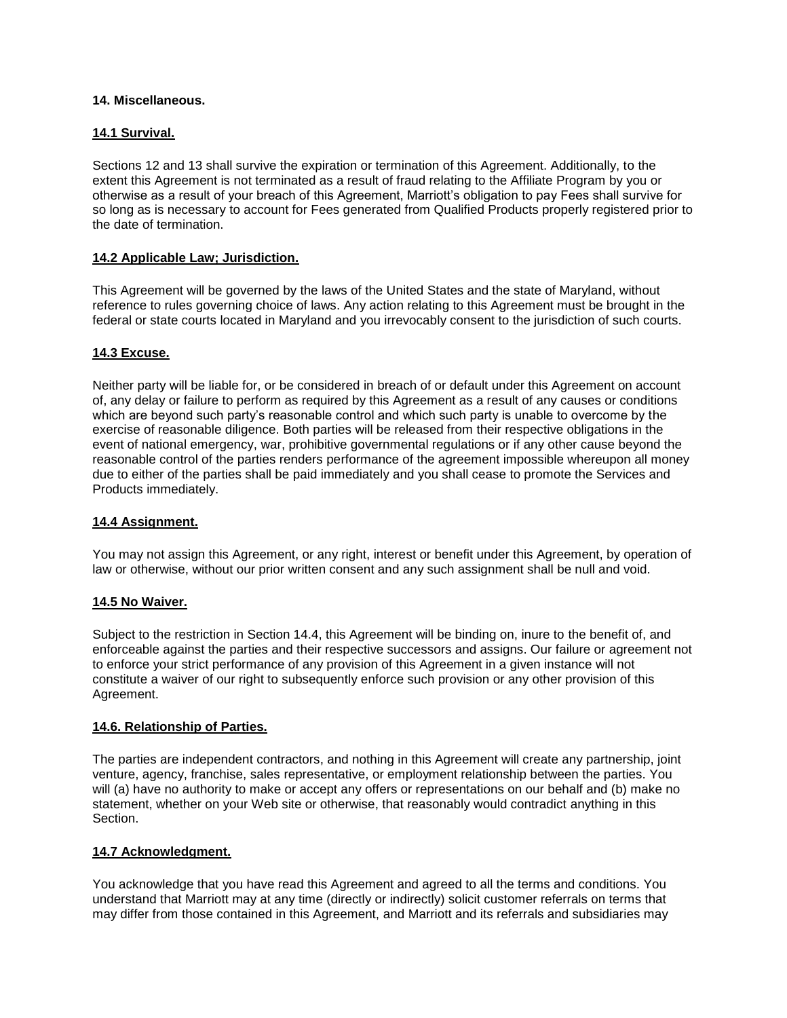### **14. Miscellaneous.**

### **14.1 Survival.**

Sections 12 and 13 shall survive the expiration or termination of this Agreement. Additionally, to the extent this Agreement is not terminated as a result of fraud relating to the Affiliate Program by you or otherwise as a result of your breach of this Agreement, Marriott's obligation to pay Fees shall survive for so long as is necessary to account for Fees generated from Qualified Products properly registered prior to the date of termination.

### **14.2 Applicable Law; Jurisdiction.**

This Agreement will be governed by the laws of the United States and the state of Maryland, without reference to rules governing choice of laws. Any action relating to this Agreement must be brought in the federal or state courts located in Maryland and you irrevocably consent to the jurisdiction of such courts.

#### **14.3 Excuse.**

Neither party will be liable for, or be considered in breach of or default under this Agreement on account of, any delay or failure to perform as required by this Agreement as a result of any causes or conditions which are beyond such party's reasonable control and which such party is unable to overcome by the exercise of reasonable diligence. Both parties will be released from their respective obligations in the event of national emergency, war, prohibitive governmental regulations or if any other cause beyond the reasonable control of the parties renders performance of the agreement impossible whereupon all money due to either of the parties shall be paid immediately and you shall cease to promote the Services and Products immediately.

#### **14.4 Assignment.**

You may not assign this Agreement, or any right, interest or benefit under this Agreement, by operation of law or otherwise, without our prior written consent and any such assignment shall be null and void.

#### **14.5 No Waiver.**

Subject to the restriction in Section 14.4, this Agreement will be binding on, inure to the benefit of, and enforceable against the parties and their respective successors and assigns. Our failure or agreement not to enforce your strict performance of any provision of this Agreement in a given instance will not constitute a waiver of our right to subsequently enforce such provision or any other provision of this Agreement.

#### **14.6. Relationship of Parties.**

The parties are independent contractors, and nothing in this Agreement will create any partnership, joint venture, agency, franchise, sales representative, or employment relationship between the parties. You will (a) have no authority to make or accept any offers or representations on our behalf and (b) make no statement, whether on your Web site or otherwise, that reasonably would contradict anything in this Section.

#### **14.7 Acknowledgment.**

You acknowledge that you have read this Agreement and agreed to all the terms and conditions. You understand that Marriott may at any time (directly or indirectly) solicit customer referrals on terms that may differ from those contained in this Agreement, and Marriott and its referrals and subsidiaries may